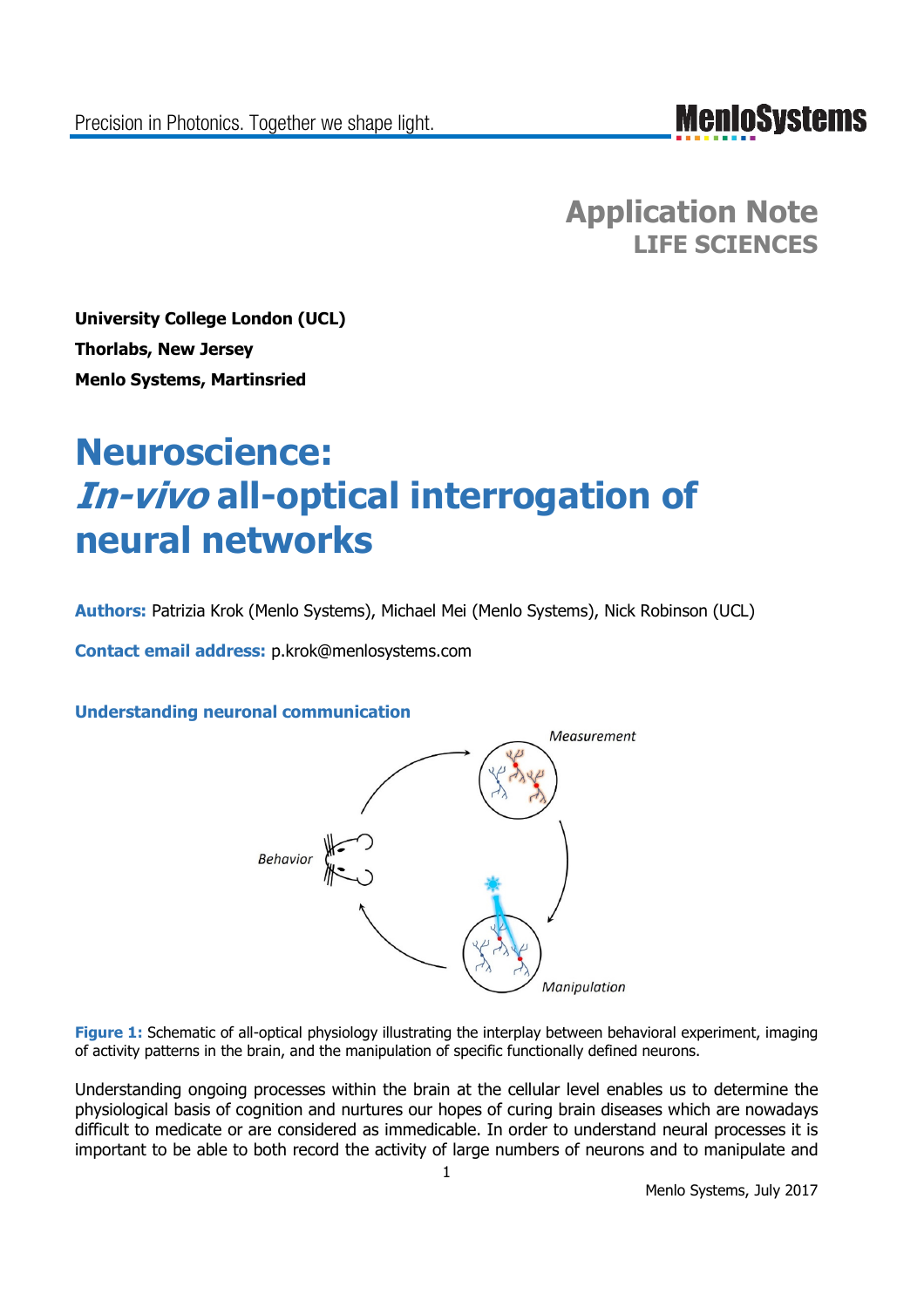## **MenIoSystems**

**Application Note LIFE SCIENCES**

**University College London (UCL) Thorlabs, New Jersey Menlo Systems, Martinsried**

# **Neuroscience: In-vivo all-optical interrogation of neural networks**

**Authors:** Patrizia Krok (Menlo Systems), Michael Mei (Menlo Systems), Nick Robinson (UCL)

**Contact email address:** p.krok@menlosystems.com

**Understanding neuronal communication**



**Figure 1:** Schematic of all-optical physiology illustrating the interplay between behavioral experiment, imaging of activity patterns in the brain, and the manipulation of specific functionally defined neurons.

Understanding ongoing processes within the brain at the cellular level enables us to determine the physiological basis of cognition and nurtures our hopes of curing brain diseases which are nowadays difficult to medicate or are considered as immedicable. In order to understand neural processes it is important to be able to both record the activity of large numbers of neurons and to manipulate and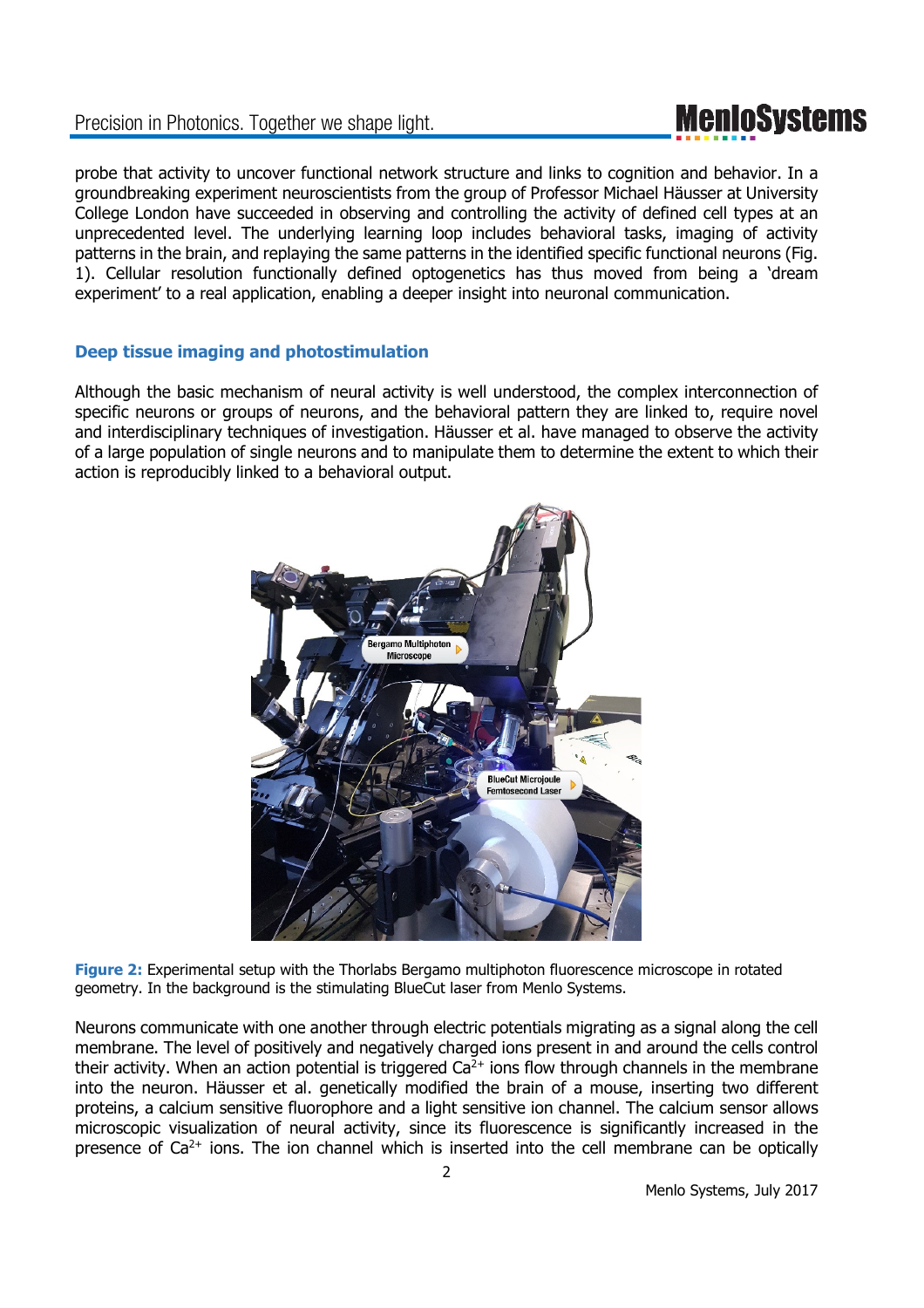# **MenIoSystems**

probe that activity to uncover functional network structure and links to cognition and behavior. In a groundbreaking experiment neuroscientists from the group of Professor Michael Häusser at University College London have succeeded in observing and controlling the activity of defined cell types at an unprecedented level. The underlying learning loop includes behavioral tasks, imaging of activity patterns in the brain, and replaying the same patterns in the identified specific functional neurons (Fig. 1). Cellular resolution functionally defined optogenetics has thus moved from being a 'dream experiment' to a real application, enabling a deeper insight into neuronal communication.

### **Deep tissue imaging and photostimulation**

Although the basic mechanism of neural activity is well understood, the complex interconnection of specific neurons or groups of neurons, and the behavioral pattern they are linked to, require novel and interdisciplinary techniques of investigation. Häusser et al. have managed to observe the activity of a large population of single neurons and to manipulate them to determine the extent to which their action is reproducibly linked to a behavioral output.



**Figure 2:** Experimental setup with the Thorlabs Bergamo multiphoton fluorescence microscope in rotated geometry. In the background is the stimulating BlueCut laser from Menlo Systems.

Neurons communicate with one another through electric potentials migrating as a signal along the cell membrane. The level of positively and negatively charged ions present in and around the cells control their activity. When an action potential is triggered  $Ca<sup>2+</sup>$  ions flow through channels in the membrane into the neuron. Häusser et al. genetically modified the brain of a mouse, inserting two different proteins, a calcium sensitive fluorophore and a light sensitive ion channel. The calcium sensor allows microscopic visualization of neural activity, since its fluorescence is significantly increased in the presence of  $Ca^{2+}$  ions. The ion channel which is inserted into the cell membrane can be optically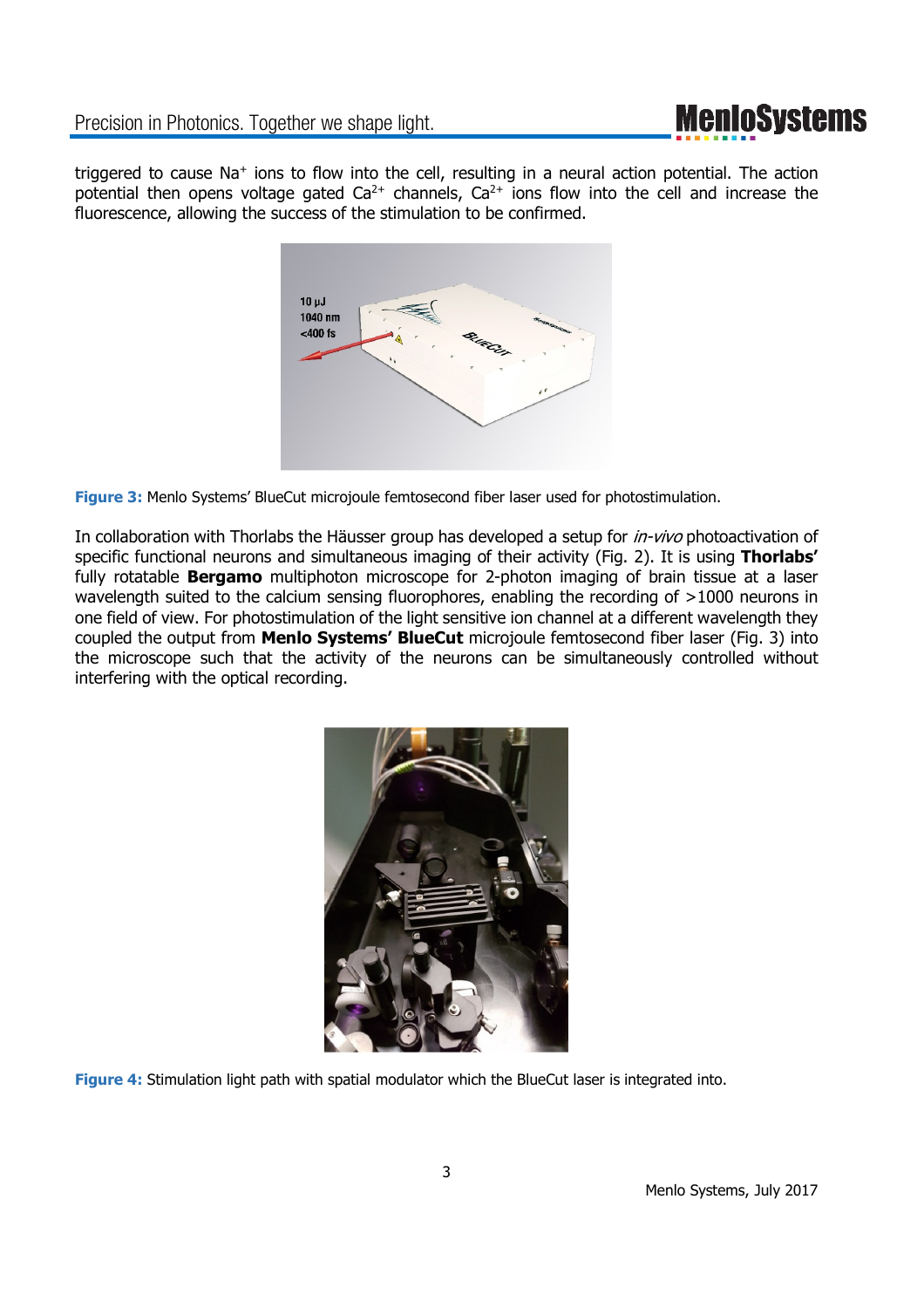## **MenIoSystems**

triggered to cause Na<sup>+</sup> ions to flow into the cell, resulting in a neural action potential. The action potential then opens voltage gated  $Ca^{2+}$  channels,  $Ca^{2+}$  ions flow into the cell and increase the fluorescence, allowing the success of the stimulation to be confirmed.



**Figure 3:** Menlo Systems' BlueCut microjoule femtosecond fiber laser used for photostimulation.

In collaboration with Thorlabs the Häusser group has developed a setup for *in-vivo* photoactivation of specific functional neurons and simultaneous imaging of their activity (Fig. 2). It is using **Thorlabs'** fully rotatable **Bergamo** multiphoton microscope for 2-photon imaging of brain tissue at a laser wavelength suited to the calcium sensing fluorophores, enabling the recording of >1000 neurons in one field of view. For photostimulation of the light sensitive ion channel at a different wavelength they coupled the output from **Menlo Systems' BlueCut** microjoule femtosecond fiber laser (Fig. 3) into the microscope such that the activity of the neurons can be simultaneously controlled without interfering with the optical recording.



**Figure 4:** Stimulation light path with spatial modulator which the BlueCut laser is integrated into.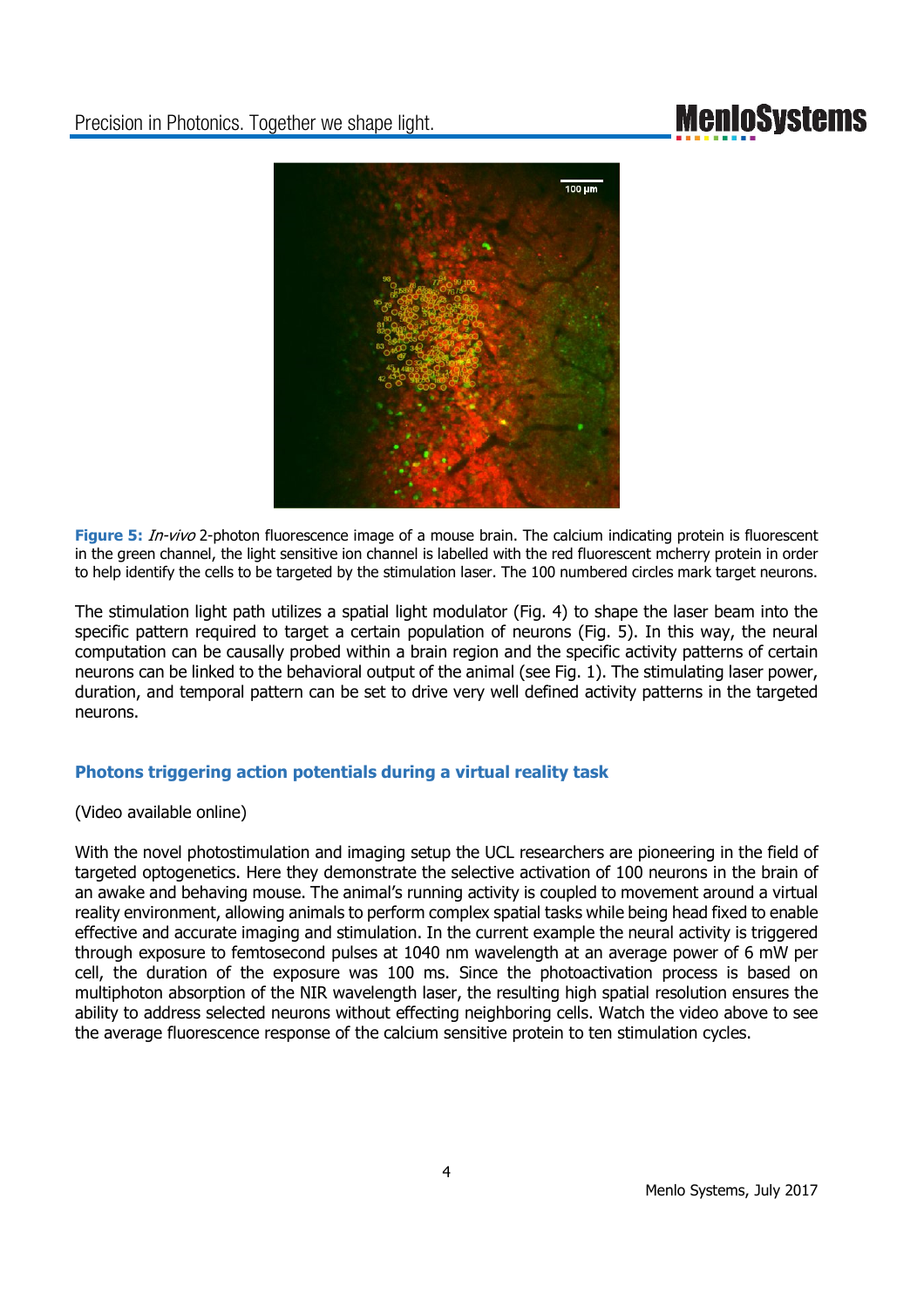## **MenIoSystems**



**Figure 5:** In-vivo 2-photon fluorescence image of a mouse brain. The calcium indicating protein is fluorescent in the green channel, the light sensitive ion channel is labelled with the red fluorescent mcherry protein in order to help identify the cells to be targeted by the stimulation laser. The 100 numbered circles mark target neurons.

The stimulation light path utilizes a spatial light modulator (Fig. 4) to shape the laser beam into the specific pattern required to target a certain population of neurons (Fig. 5). In this way, the neural computation can be causally probed within a brain region and the specific activity patterns of certain neurons can be linked to the behavioral output of the animal (see Fig. 1). The stimulating laser power, duration, and temporal pattern can be set to drive very well defined activity patterns in the targeted neurons.

### **Photons triggering action potentials during a virtual reality task**

(Video available online)

With the novel photostimulation and imaging setup the UCL researchers are pioneering in the field of targeted optogenetics. Here they demonstrate the selective activation of 100 neurons in the brain of an awake and behaving mouse. The animal's running activity is coupled to movement around a virtual reality environment, allowing animals to perform complex spatial tasks while being head fixed to enable effective and accurate imaging and stimulation. In the current example the neural activity is triggered through exposure to femtosecond pulses at 1040 nm wavelength at an average power of 6 mW per cell, the duration of the exposure was 100 ms. Since the photoactivation process is based on multiphoton absorption of the NIR wavelength laser, the resulting high spatial resolution ensures the ability to address selected neurons without effecting neighboring cells. Watch the video above to see the average fluorescence response of the calcium sensitive protein to ten stimulation cycles.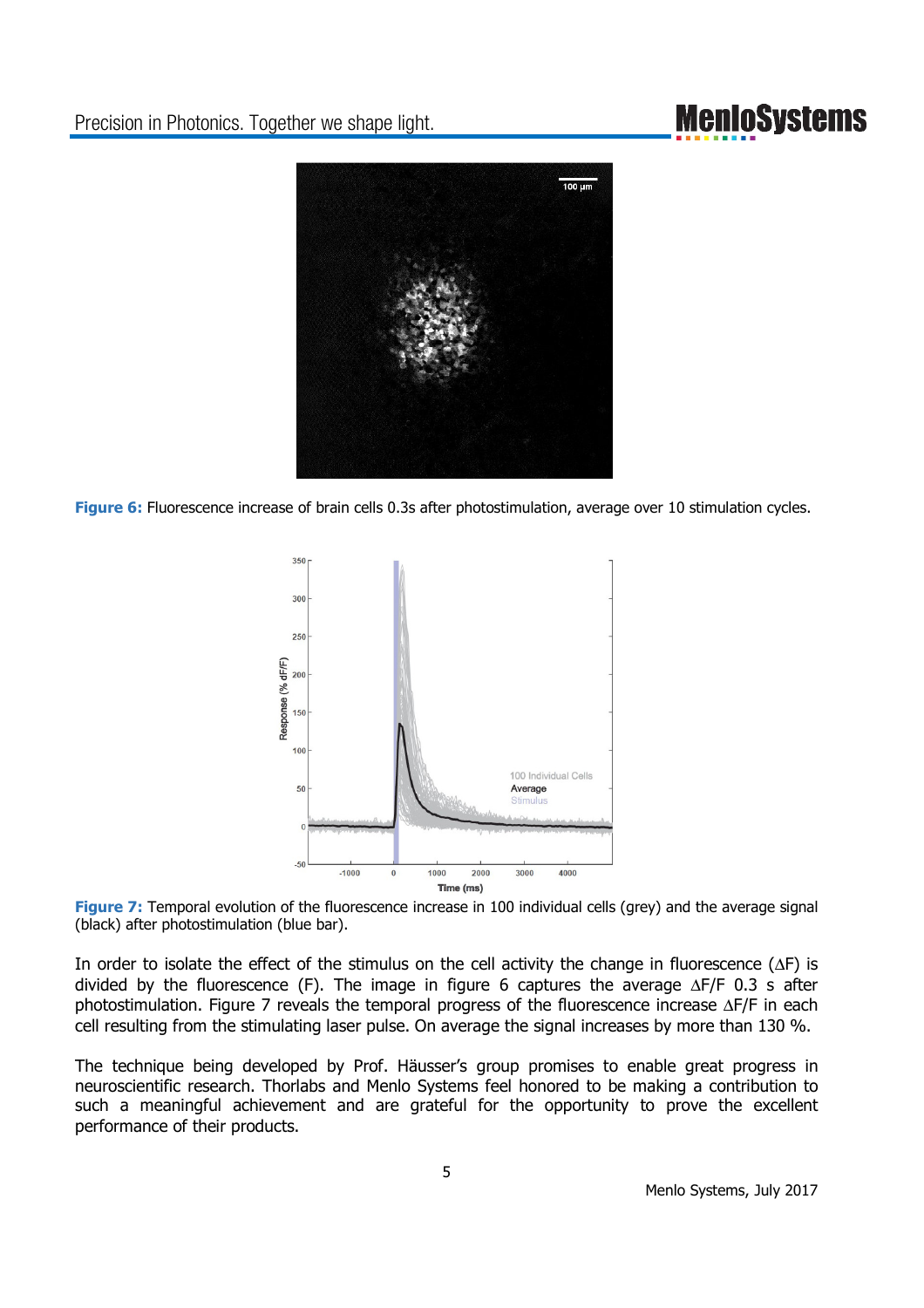## **MenIoSystems**



**Figure 6:** Fluorescence increase of brain cells 0.3s after photostimulation, average over 10 stimulation cycles.



**Figure 7:** Temporal evolution of the fluorescence increase in 100 individual cells (grey) and the average signal (black) after photostimulation (blue bar).

In order to isolate the effect of the stimulus on the cell activity the change in fluorescence (∆F) is divided by the fluorescence (F). The image in figure 6 captures the average ∆F/F 0.3 s after photostimulation. Figure 7 reveals the temporal progress of the fluorescence increase ∆F/F in each cell resulting from the stimulating laser pulse. On average the signal increases by more than 130 %.

The technique being developed by Prof. Häusser's group promises to enable great progress in neuroscientific research. Thorlabs and Menlo Systems feel honored to be making a contribution to such a meaningful achievement and are grateful for the opportunity to prove the excellent performance of their products.